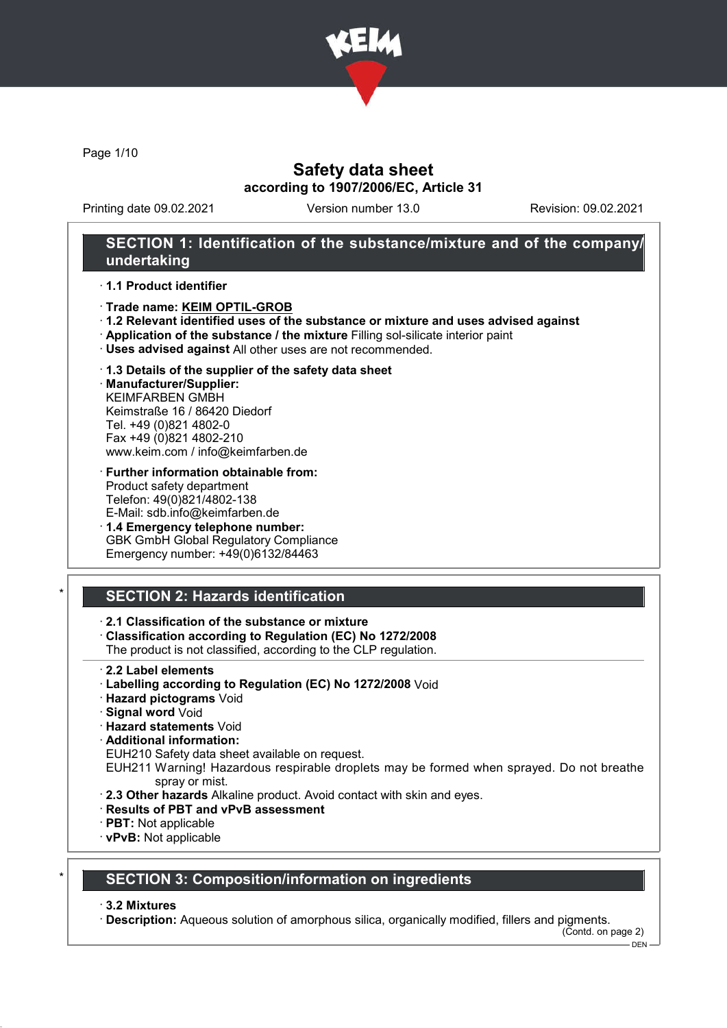

Page 1/10

# Safety data sheet according to 1907/2006/EC, Article 31

Printing date 09.02.2021 Version number 13.0 Revision: 09.02.2021

## SECTION 1: Identification of the substance/mixture and of the company/ undertaking

#### · 1.1 Product identifier

- · Trade name: KEIM OPTIL-GROB
- · 1.2 Relevant identified uses of the substance or mixture and uses advised against
- · Application of the substance / the mixture Filling sol-silicate interior paint
- · Uses advised against All other uses are not recommended.

## · 1.3 Details of the supplier of the safety data sheet

· Manufacturer/Supplier: KEIMFARBEN GMBH Keimstraße 16 / 86420 Diedorf Tel. +49 (0)821 4802-0 Fax +49 (0)821 4802-210 www.keim.com / info@keimfarben.de

- · Further information obtainable from: Product safety department Telefon: 49(0)821/4802-138 E-Mail: sdb.info@keimfarben.de
- · 1.4 Emergency telephone number: GBK GmbH Global Regulatory Compliance Emergency number: +49(0)6132/84463

# **SECTION 2: Hazards identification**

## · 2.1 Classification of the substance or mixture

· Classification according to Regulation (EC) No 1272/2008

The product is not classified, according to the CLP regulation.

- · 2.2 Label elements
- · Labelling according to Regulation (EC) No 1272/2008 Void
- · Hazard pictograms Void
- · Signal word Void
- · Hazard statements Void
- · Additional information:

EUH210 Safety data sheet available on request.

- EUH211 Warning! Hazardous respirable droplets may be formed when sprayed. Do not breathe spray or mist.
- · 2.3 Other hazards Alkaline product. Avoid contact with skin and eyes.
- · Results of PBT and vPvB assessment
- · PBT: Not applicable
- · vPvB: Not applicable

# **SECTION 3: Composition/information on ingredients**

#### · 3.2 Mixtures

· Description: Aqueous solution of amorphous silica, organically modified, fillers and pigments.

(Contd. on page 2)

 $-$  DEN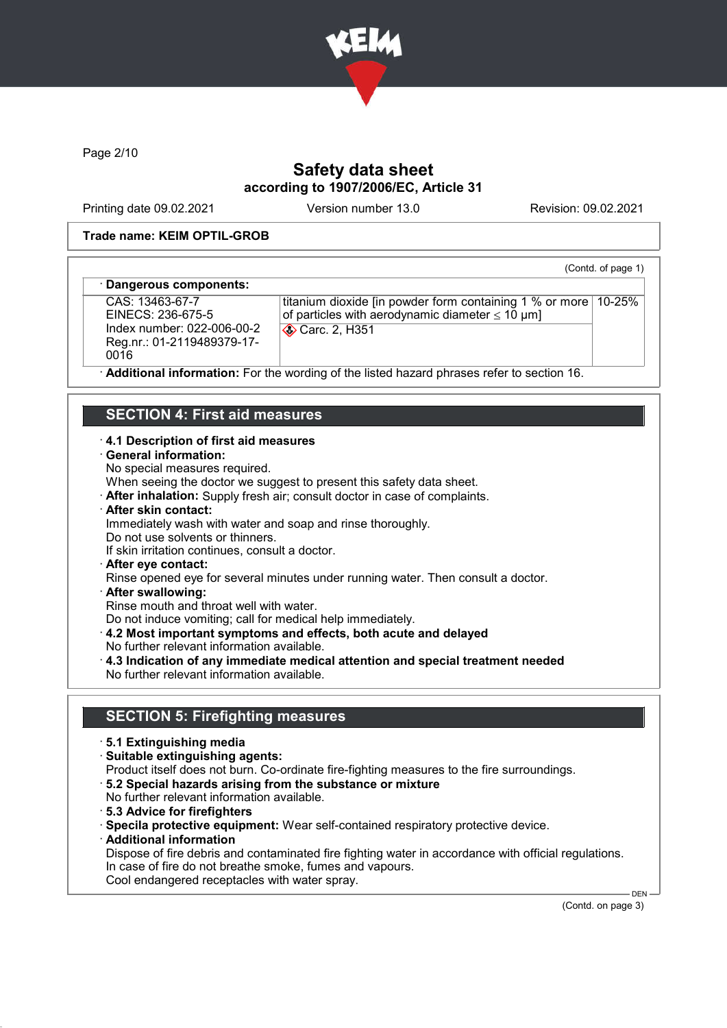

Page 2/10

# Safety data sheet according to 1907/2006/EC, Article 31

Printing date 09.02.2021 Version number 13.0 Revision: 09.02.2021

(Contd. of page 1)

#### Trade name: KEIM OPTIL-GROB

#### Dangerous components:

CAS: 13463-67-7 EINECS: 236-675-5 Index number: 022-006-00-2 Reg.nr.: 01-2119489379-17- 0016

titanium dioxide [in powder form containing 1 % or more 10-25% of particles with aerodynamic diameter  $\leq 10 \text{ }\mu\text{m}$ ] **Carc. 2, H351** 

Additional information: For the wording of the listed hazard phrases refer to section 16.

# SECTION 4: First aid measures

#### · 4.1 Description of first aid measures

- · General information:
- No special measures required.

When seeing the doctor we suggest to present this safety data sheet.

- · After inhalation: Supply fresh air; consult doctor in case of complaints.
- · After skin contact:
- Immediately wash with water and soap and rinse thoroughly.
- Do not use solvents or thinners.
- If skin irritation continues, consult a doctor.
- · After eye contact:
- Rinse opened eye for several minutes under running water. Then consult a doctor.
- · After swallowing:

Rinse mouth and throat well with water.

Do not induce vomiting; call for medical help immediately.

- · 4.2 Most important symptoms and effects, both acute and delayed
- No further relevant information available.
- · 4.3 Indication of any immediate medical attention and special treatment needed No further relevant information available.

## SECTION 5: Firefighting measures

- · 5.1 Extinguishing media
- · Suitable extinguishing agents:
- Product itself does not burn. Co-ordinate fire-fighting measures to the fire surroundings.
- · 5.2 Special hazards arising from the substance or mixture
- No further relevant information available.
- · 5.3 Advice for firefighters
- · Specila protective equipment: Wear self-contained respiratory protective device.
- · Additional information
- Dispose of fire debris and contaminated fire fighting water in accordance with official regulations. In case of fire do not breathe smoke, fumes and vapours. Cool endangered receptacles with water spray.

(Contd. on page 3)

DEN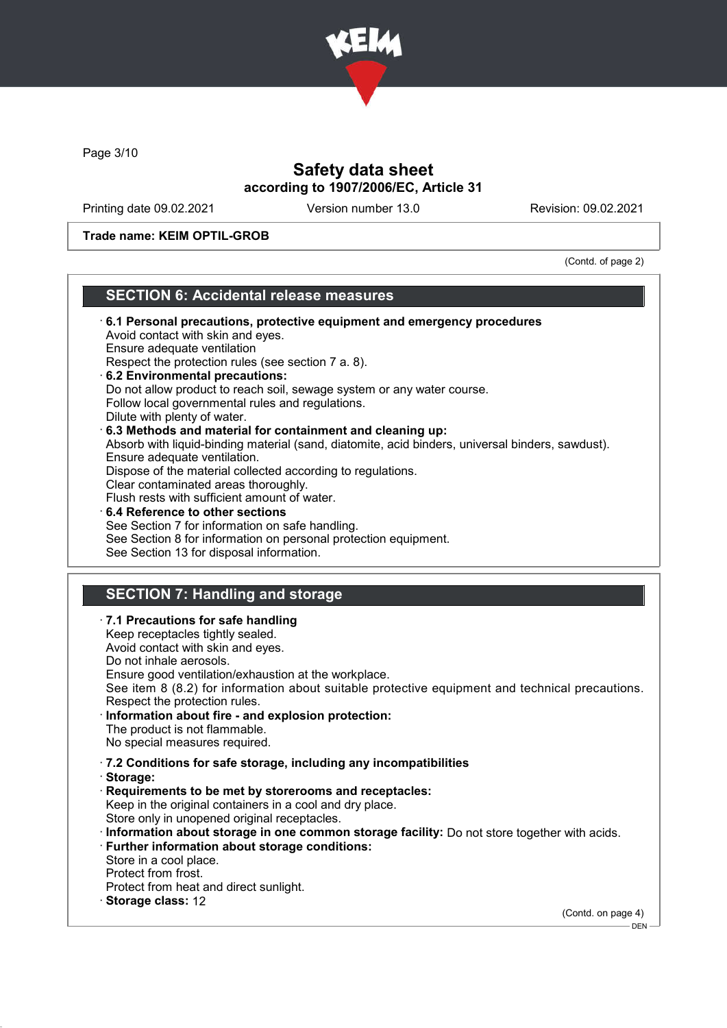

Page 3/10

 $\overline{\phantom{a}}$ 

# Safety data sheet according to 1907/2006/EC, Article 31

Printing date 09.02.2021 Version number 13.0 Revision: 09.02.2021

Trade name: KEIM OPTIL-GROB

(Contd. of page 2)

# SECTION 6: Accidental release measures

| Follow local governmental rules and regulations.<br>Dilute with plenty of water.<br>6.3 Methods and material for containment and cleaning up:<br>Absorb with liquid-binding material (sand, diatomite, acid binders, universal binders, sawdust).<br>Ensure adequate ventilation.<br>Dispose of the material collected according to regulations.<br>Clear contaminated areas thoroughly.<br>Flush rests with sufficient amount of water.<br>6.4 Reference to other sections<br>See Section 7 for information on safe handling.<br>See Section 8 for information on personal protection equipment.<br>See Section 13 for disposal information. |
|-----------------------------------------------------------------------------------------------------------------------------------------------------------------------------------------------------------------------------------------------------------------------------------------------------------------------------------------------------------------------------------------------------------------------------------------------------------------------------------------------------------------------------------------------------------------------------------------------------------------------------------------------|
|                                                                                                                                                                                                                                                                                                                                                                                                                                                                                                                                                                                                                                               |
| <b>SECTION 7: Handling and storage</b>                                                                                                                                                                                                                                                                                                                                                                                                                                                                                                                                                                                                        |
| · 7.1 Precautions for safe handling<br>Keep receptacles tightly sealed.<br>Avoid contact with skin and eyes.<br>Do not inhale aerosols.<br>Ensure good ventilation/exhaustion at the workplace.<br>See item 8 (8.2) for information about suitable protective equipment and technical precautions.<br>Respect the protection rules.<br>· Information about fire - and explosion protection:<br>The product is not flammable.<br>No special measures required.                                                                                                                                                                                 |
| · 7.2 Conditions for safe storage, including any incompatibilities<br>· Storage:<br>Requirements to be met by storerooms and receptacles:<br>Keep in the original containers in a cool and dry place.<br>Store only in unopened original receptacles.<br>· Information about storage in one common storage facility: Do not store together with acids.<br>· Further information about storage conditions:<br>Store in a cool place.<br>Protect from frost.<br>Protect from heat and direct sunlight.<br>· Storage class: 12                                                                                                                   |
| (Contd. on page 4)<br>- DEN                                                                                                                                                                                                                                                                                                                                                                                                                                                                                                                                                                                                                   |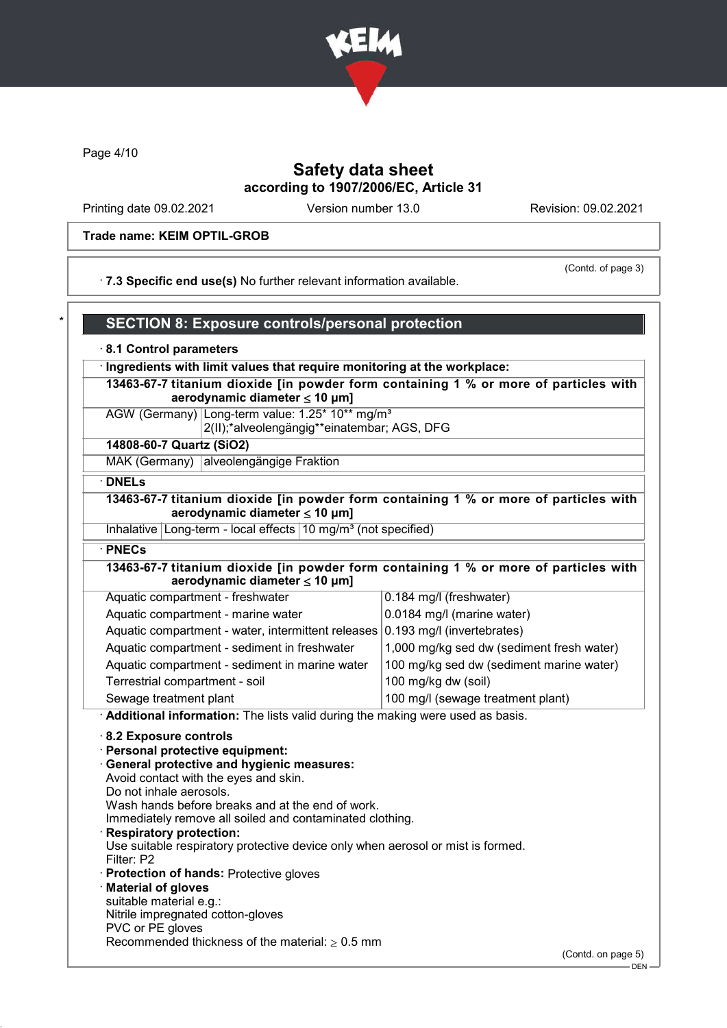

Page 4/10

# Safety data sheet according to 1907/2006/EC, Article 31

Printing date 09.02.2021 Version number 13.0 Revision: 09.02.2021

#### Trade name: KEIM OPTIL-GROB

(Contd. of page 3)

· 7.3 Specific end use(s) No further relevant information available.

## SECTION 8: Exposure controls/personal protection

#### · 8.1 Control parameters

· Ingredients with limit values that require monitoring at the workplace:

13463-67-7 titanium dioxide [in powder form containing 1 % or more of particles with aerodynamic diameter  $\leq 10 \mu m$ ]

AGW (Germany) Long-term value: 1.25\* 10\*\* mg/m<sup>3</sup> 2(II);\*alveolengängig\*\*einatembar; AGS, DFG

#### 14808-60-7 Quartz (SiO2)

MAK (Germany) alveolengängige Fraktion

## · DNELs

## 13463-67-7 titanium dioxide [in powder form containing 1 % or more of particles with aerodynamic diameter ≤ 10 μm]

Inhalative Long-term - local effects  $10 \text{ mg/m}^3$  (not specified)

#### · PNECs

## 13463-67-7 titanium dioxide [in powder form containing 1 % or more of particles with aerodynamic diameter  $\leq 10 \mu m$ ]

| Aquatic compartment - freshwater                                              | 0.184 mg/l (freshwater)                   |
|-------------------------------------------------------------------------------|-------------------------------------------|
| Aquatic compartment - marine water                                            | 0.0184 mg/l (marine water)                |
| Aquatic compartment - water, intermittent releases 0.193 mg/l (invertebrates) |                                           |
| Aquatic compartment - sediment in freshwater                                  | 1,000 mg/kg sed dw (sediment fresh water) |
| Aquatic compartment - sediment in marine water                                | 100 mg/kg sed dw (sediment marine water)  |
| Terrestrial compartment - soil                                                | 100 mg/kg dw (soil)                       |
| Sewage treatment plant                                                        | 100 mg/l (sewage treatment plant)         |

· Additional information: The lists valid during the making were used as basis.

#### · 8.2 Exposure controls

#### · Personal protective equipment:

- · General protective and hygienic measures: Avoid contact with the eyes and skin.
- Do not inhale aerosols.
- Wash hands before breaks and at the end of work.

Immediately remove all soiled and contaminated clothing.

Respiratory protection:

Use suitable respiratory protective device only when aerosol or mist is formed. Filter: P2

- · Protection of hands: Protective gloves
- · Material of gloves
- suitable material e.g.:
- Nitrile impregnated cotton-gloves
- PVC or PE gloves Recommended thickness of the material:  $\geq 0.5$  mm

(Contd. on page 5)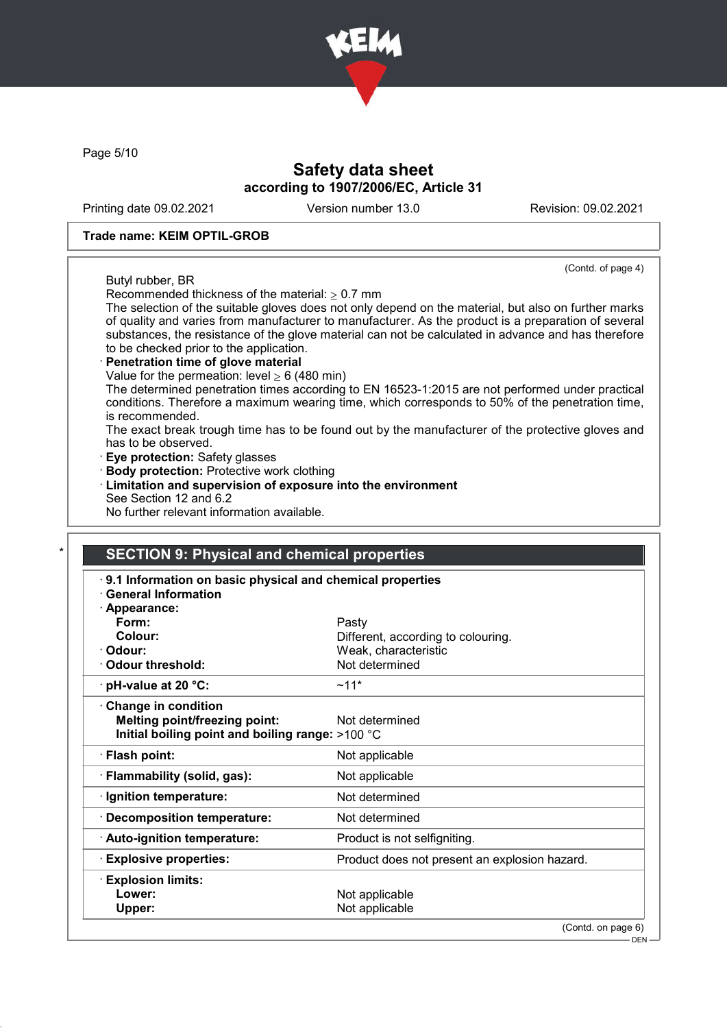

Page 5/10

# Safety data sheet according to 1907/2006/EC, Article 31

Printing date 09.02.2021 Version number 13.0 Revision: 09.02.2021

(Contd. of page 4)

#### Trade name: KEIM OPTIL-GROB

Butyl rubber, BR

Recommended thickness of the material:  $> 0.7$  mm

The selection of the suitable gloves does not only depend on the material, but also on further marks of quality and varies from manufacturer to manufacturer. As the product is a preparation of several substances, the resistance of the glove material can not be calculated in advance and has therefore to be checked prior to the application.

# Penetration time of glove material

Value for the permeation: level  $\geq 6$  (480 min)

The determined penetration times according to EN 16523-1:2015 are not performed under practical conditions. Therefore a maximum wearing time, which corresponds to 50% of the penetration time, is recommended.

The exact break trough time has to be found out by the manufacturer of the protective gloves and has to be observed.

- · Eye protection: Safety glasses
- · Body protection: Protective work clothing
- · Limitation and supervision of exposure into the environment See Section 12 and 6.2

No further relevant information available.

## **SECTION 9: Physical and chemical properties**

| <b>General Information</b>                       | 9.1 Information on basic physical and chemical properties |  |
|--------------------------------------------------|-----------------------------------------------------------|--|
| · Appearance:                                    |                                                           |  |
| Form:                                            | Pasty                                                     |  |
| Colour:                                          | Different, according to colouring.                        |  |
| · Odour:                                         | Weak, characteristic                                      |  |
| Odour threshold:                                 | Not determined                                            |  |
| $\cdot$ pH-value at 20 °C:                       | $~11*$                                                    |  |
| $\cdot$ Change in condition                      |                                                           |  |
| <b>Melting point/freezing point:</b>             | Not determined                                            |  |
| Initial boiling point and boiling range: >100 °C |                                                           |  |
| · Flash point:                                   | Not applicable                                            |  |
| · Flammability (solid, gas):                     | Not applicable                                            |  |
| · Ignition temperature:                          | Not determined                                            |  |
| <b>Decomposition temperature:</b>                | Not determined                                            |  |
| · Auto-ignition temperature:                     | Product is not selfigniting.                              |  |
| <b>Explosive properties:</b>                     | Product does not present an explosion hazard.             |  |
| <b>Explosion limits:</b>                         |                                                           |  |
| Lower:                                           | Not applicable                                            |  |
| Upper:                                           | Not applicable                                            |  |
|                                                  | (Contd. on page 6)                                        |  |

DEN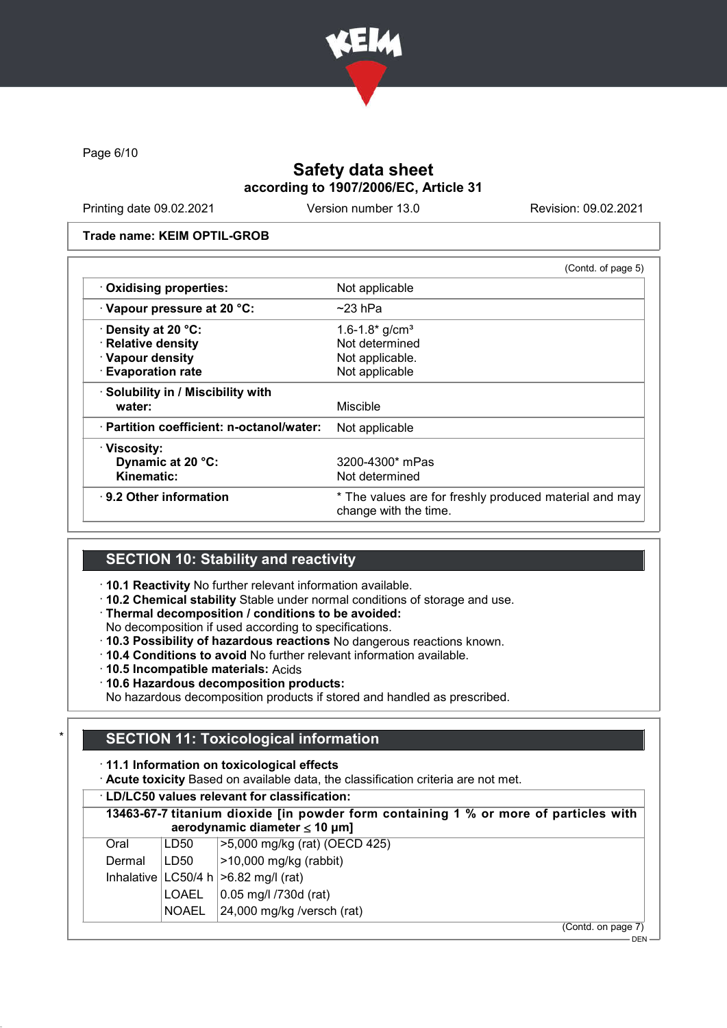

Page 6/10

# Safety data sheet according to 1907/2006/EC, Article 31

Printing date 09.02.2021 Version number 13.0 Revision: 09.02.2021

DEN

#### Trade name: KEIM OPTIL-GROB

|                                           | (Contd. of page 5)                                                              |
|-------------------------------------------|---------------------------------------------------------------------------------|
| · Oxidising properties:                   | Not applicable                                                                  |
| Vapour pressure at 20 °C:                 | $\sim$ 23 hPa                                                                   |
| · Density at 20 °C:                       | 1.6-1.8 $\frac{\text{g}}{\text{cm}^3}$                                          |
| · Relative density                        | Not determined                                                                  |
| · Vapour density                          | Not applicable.                                                                 |
| <b>Evaporation rate</b>                   | Not applicable                                                                  |
| · Solubility in / Miscibility with        |                                                                                 |
| water:                                    | Miscible                                                                        |
| · Partition coefficient: n-octanol/water: | Not applicable                                                                  |
| · Viscosity:                              |                                                                                 |
| Dynamic at 20 °C:                         | 3200-4300* mPas                                                                 |
| Kinematic:                                | Not determined                                                                  |
| $\cdot$ 9.2 Other information             | * The values are for freshly produced material and may<br>change with the time. |
|                                           |                                                                                 |

## SECTION 10: Stability and reactivity

- · 10.1 Reactivity No further relevant information available.
- · 10.2 Chemical stability Stable under normal conditions of storage and use.
- · Thermal decomposition / conditions to be avoided:
- No decomposition if used according to specifications.
- · 10.3 Possibility of hazardous reactions No dangerous reactions known.
- · 10.4 Conditions to avoid No further relevant information available.
- · 10.5 Incompatible materials: Acids
- · 10.6 Hazardous decomposition products:

No hazardous decomposition products if stored and handled as prescribed.

## **SECTION 11: Toxicological information**

## · 11.1 Information on toxicological effects

· Acute toxicity Based on available data, the classification criteria are not met.

| 13463-67-7 titanium dioxide [in powder form containing 1 % or more of particles with<br>aerodynamic diameter $\leq 10 \mu m$ ] |              |                                       |
|--------------------------------------------------------------------------------------------------------------------------------|--------------|---------------------------------------|
| Oral                                                                                                                           | LD50         | >5,000 mg/kg (rat) (OECD 425)         |
| Dermal                                                                                                                         | LD50         | >10,000 mg/kg (rabbit)                |
| Inhalative                                                                                                                     |              | LC50/4 h  > 6.82 mg/l (rat)           |
|                                                                                                                                | <b>LOAEL</b> | 0.05 mg/l /730d (rat)                 |
|                                                                                                                                | <b>NOAEL</b> | $ 24,000 \text{ mg/kg}$ /versch (rat) |
|                                                                                                                                |              | (Contd. on page 7)                    |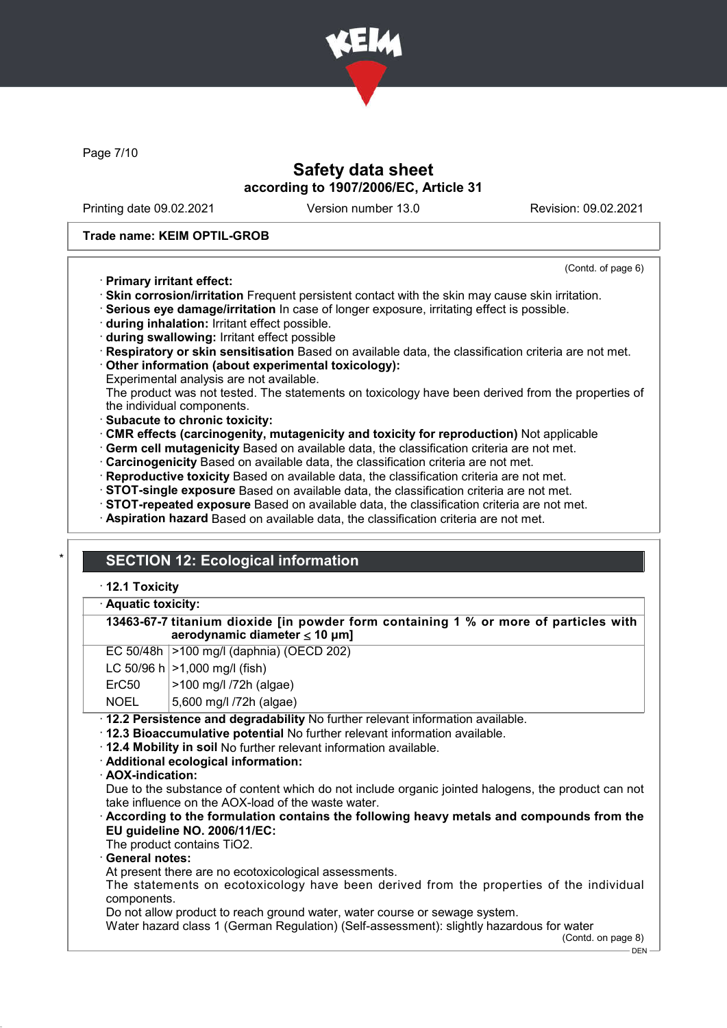

Page 7/10

# Safety data sheet according to 1907/2006/EC, Article 31

Printing date 09.02.2021 Version number 13.0 Revision: 09.02.2021

(Contd. of page 6)

#### Trade name: KEIM OPTIL-GROB

## · Primary irritant effect:

· Skin corrosion/irritation Frequent persistent contact with the skin may cause skin irritation.

· Serious eye damage/irritation In case of longer exposure, irritating effect is possible.

- · during inhalation: Irritant effect possible.
- · during swallowing: Irritant effect possible
- · Respiratory or skin sensitisation Based on available data, the classification criteria are not met.

· Other information (about experimental toxicology):

Experimental analysis are not available.

The product was not tested. The statements on toxicology have been derived from the properties of the individual components.

- · Subacute to chronic toxicity:
- · CMR effects (carcinogenity, mutagenicity and toxicity for reproduction) Not applicable
- · Germ cell mutagenicity Based on available data, the classification criteria are not met.
- · Carcinogenicity Based on available data, the classification criteria are not met.
- · Reproductive toxicity Based on available data, the classification criteria are not met.
- · STOT-single exposure Based on available data, the classification criteria are not met.
- · STOT-repeated exposure Based on available data, the classification criteria are not met.
- · Aspiration hazard Based on available data, the classification criteria are not met.

# **SECTION 12: Ecological information**

## · 12.1 Toxicity

#### Aquatic toxicity:

| 13463-67-7 titanium dioxide [in powder form containing 1 % or more of particles with |  |  |  |
|--------------------------------------------------------------------------------------|--|--|--|
| aerodynamic diameter $\leq 10 \mu m$ ]                                               |  |  |  |

| EC 50/48h  >100 mg/l (daphnia) (OECD 202) |  |  |  |
|-------------------------------------------|--|--|--|
|-------------------------------------------|--|--|--|

|  | LC 50/96 h $ >1,000$ mg/l (fish) |
|--|----------------------------------|
|--|----------------------------------|

ErC50 >100 mg/l /72h (algae)

NOEL 5,600 mg/l /72h (algae)

· 12.2 Persistence and degradability No further relevant information available.

· 12.3 Bioaccumulative potential No further relevant information available.

· 12.4 Mobility in soil No further relevant information available.

· Additional ecological information:

· AOX-indication:

Due to the substance of content which do not include organic jointed halogens, the product can not take influence on the AOX-load of the waste water.

## · According to the formulation contains the following heavy metals and compounds from the EU guideline NO. 2006/11/EC:

The product contains TiO2.

General notes:

At present there are no ecotoxicological assessments.

The statements on ecotoxicology have been derived from the properties of the individual components.

Do not allow product to reach ground water, water course or sewage system.

Water hazard class 1 (German Regulation) (Self-assessment): slightly hazardous for water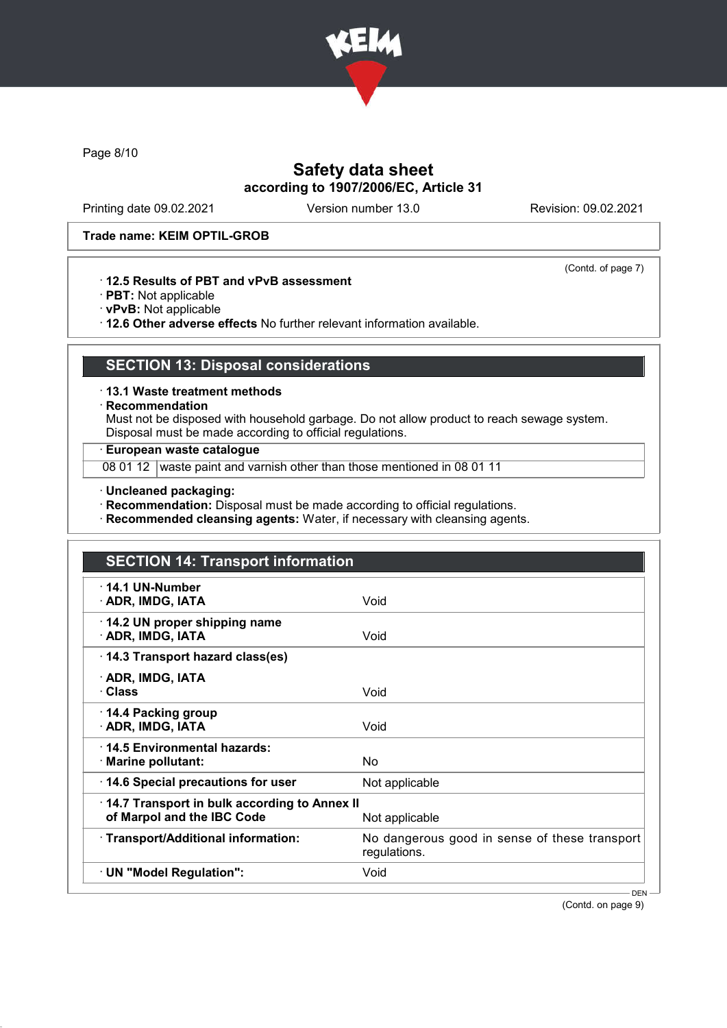

Page 8/10

# Safety data sheet according to 1907/2006/EC, Article 31

Printing date 09.02.2021 Version number 13.0 Revision: 09.02.2021

(Contd. of page 7)

#### Trade name: KEIM OPTIL-GROB

## · 12.5 Results of PBT and vPvB assessment

- · PBT: Not applicable
- · vPvB: Not applicable

· 12.6 Other adverse effects No further relevant information available.

# SECTION 13: Disposal considerations

· 13.1 Waste treatment methods

· Recommendation

Must not be disposed with household garbage. Do not allow product to reach sewage system. Disposal must be made according to official regulations.

## · European waste catalogue

08 01 12 waste paint and varnish other than those mentioned in 08 01 11

· Uncleaned packaging:

· Recommendation: Disposal must be made according to official regulations.

· Recommended cleansing agents: Water, if necessary with cleansing agents.

| <b>SECTION 14: Transport information</b>                                   |                                                               |  |
|----------------------------------------------------------------------------|---------------------------------------------------------------|--|
| $\cdot$ 14.1 UN-Number<br>· ADR, IMDG, IATA                                | Void                                                          |  |
| 14.2 UN proper shipping name<br>· ADR, IMDG, IATA                          | Void                                                          |  |
| · 14.3 Transport hazard class(es)                                          |                                                               |  |
| · ADR, IMDG, IATA<br>· Class                                               | Void                                                          |  |
| 14.4 Packing group<br>· ADR, IMDG, IATA                                    | Void                                                          |  |
| 14.5 Environmental hazards:<br>· Marine pollutant:                         | N <sub>o</sub>                                                |  |
| 14.6 Special precautions for user                                          | Not applicable                                                |  |
| 14.7 Transport in bulk according to Annex II<br>of Marpol and the IBC Code | Not applicable                                                |  |
| · Transport/Additional information:                                        | No dangerous good in sense of these transport<br>regulations. |  |
| · UN "Model Regulation":                                                   | Void                                                          |  |
|                                                                            | - DEN -                                                       |  |

(Contd. on page 9)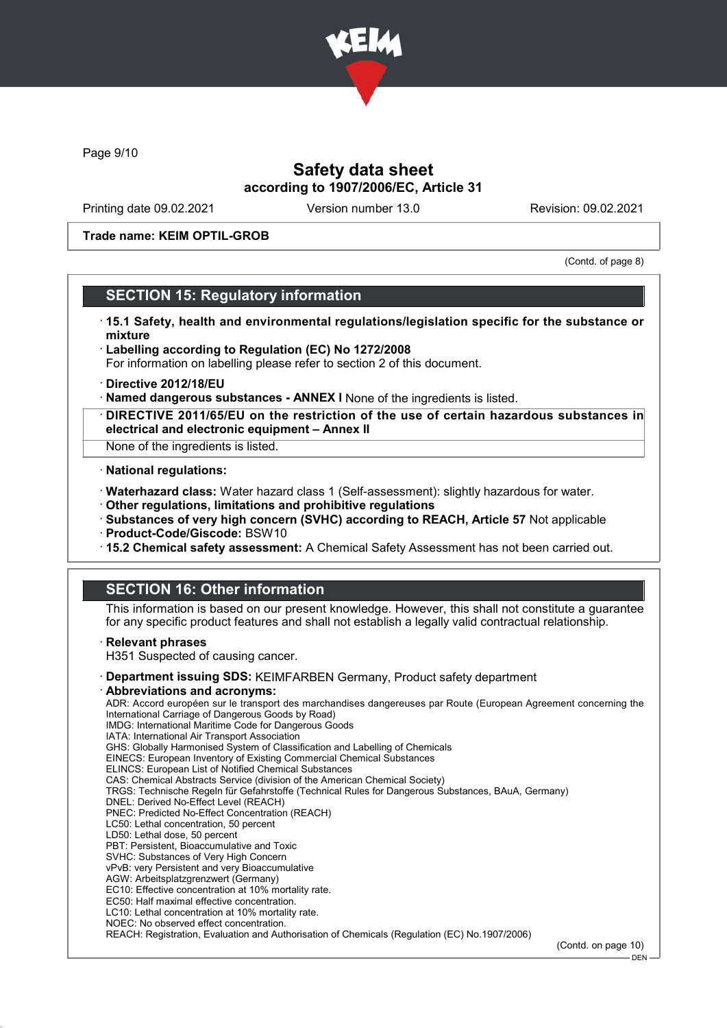

Page 9/10

# Safety data sheet according to 1907/2006/EC, Article 31

Printing date 09.02.2021 Version number 13.0 Revision: 09.02.2021

Trade name: KEIM OPTIL-GROB

(Contd. of page 8)

# SECTION 15: Regulatory information

- · 15.1 Safety, health and environmental regulations/legislation specific for the substance or mixture
- · Labelling according to Regulation (EC) No 1272/2008 For information on labelling please refer to section 2 of this document.
- · Directive 2012/18/EU
- · Named dangerous substances ANNEX I None of the ingredients is listed.
- · DIRECTIVE 2011/65/EU on the restriction of the use of certain hazardous substances in electrical and electronic equipment – Annex II
- None of the ingredients is listed.

#### · National regulations:

- · Waterhazard class: Water hazard class 1 (Self-assessment): slightly hazardous for water.
- · Other regulations, limitations and prohibitive regulations
- · Substances of very high concern (SVHC) according to REACH, Article 57 Not applicable
- · Product-Code/Giscode: BSW10
- · 15.2 Chemical safety assessment: A Chemical Safety Assessment has not been carried out.

# SECTION 16: Other information

This information is based on our present knowledge. However, this shall not constitute a guarantee for any specific product features and shall not establish a legally valid contractual relationship.

#### **Relevant phrases**

H351 Suspected of causing cancer.

- · Department issuing SDS: KEIMFARBEN Germany, Product safety department
- · Abbreviations and acronyms:

ADR: Accord européen sur le transport des marchandises dangereuses par Route (European Agreement concerning the International Carriage of Dangerous Goods by Road) IMDG: International Maritime Code for Dangerous Goods IATA: International Air Transport Association GHS: Globally Harmonised System of Classification and Labelling of Chemicals EINECS: European Inventory of Existing Commercial Chemical Substances ELINCS: European List of Notified Chemical Substances CAS: Chemical Abstracts Service (division of the American Chemical Society) TRGS: Technische Regeln für Gefahrstoffe (Technical Rules for Dangerous Substances, BAuA, Germany) DNEL: Derived No-Effect Level (REACH) PNEC: Predicted No-Effect Concentration (REACH) LC50: Lethal concentration, 50 percent LD50: Lethal dose, 50 percent PBT: Persistent, Bioaccumulative and Toxic SVHC: Substances of Very High Concern vPvB: very Persistent and very Bioaccumulative AGW: Arbeitsplatzgrenzwert (Germany)

- EC10: Effective concentration at 10% mortality rate.
- EC50: Half maximal effective concentration.
- LC10: Lethal concentration at 10% mortality rate.
- NOEC: No observed effect concentration.

REACH: Registration, Evaluation and Authorisation of Chemicals (Regulation (EC) No.1907/2006)

<sup>(</sup>Contd. on page 10)